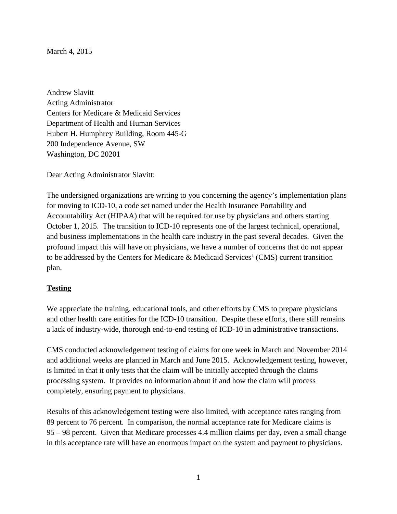March 4, 2015

Andrew Slavitt Acting Administrator Centers for Medicare & Medicaid Services Department of Health and Human Services Hubert H. Humphrey Building, Room 445-G 200 Independence Avenue, SW Washington, DC 20201

Dear Acting Administrator Slavitt:

The undersigned organizations are writing to you concerning the agency's implementation plans for moving to ICD-10, a code set named under the Health Insurance Portability and Accountability Act (HIPAA) that will be required for use by physicians and others starting October 1, 2015. The transition to ICD-10 represents one of the largest technical, operational, and business implementations in the health care industry in the past several decades. Given the profound impact this will have on physicians, we have a number of concerns that do not appear to be addressed by the Centers for Medicare & Medicaid Services' (CMS) current transition plan.

# **Testing**

We appreciate the training, educational tools, and other efforts by CMS to prepare physicians and other health care entities for the ICD-10 transition. Despite these efforts, there still remains a lack of industry-wide, thorough end-to-end testing of ICD-10 in administrative transactions.

CMS conducted acknowledgement testing of claims for one week in March and November 2014 and additional weeks are planned in March and June 2015. Acknowledgement testing, however, is limited in that it only tests that the claim will be initially accepted through the claims processing system. It provides no information about if and how the claim will process completely, ensuring payment to physicians.

Results of this acknowledgement testing were also limited, with acceptance rates ranging from 89 percent to 76 percent. In comparison, the normal acceptance rate for Medicare claims is 95 – 98 percent. Given that Medicare processes 4.4 million claims per day, even a small change in this acceptance rate will have an enormous impact on the system and payment to physicians.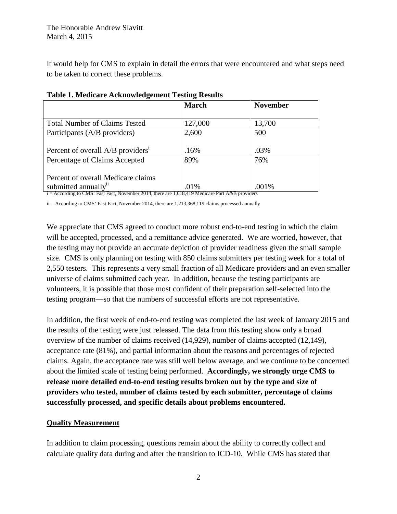It would help for CMS to explain in detail the errors that were encountered and what steps need to be taken to correct these problems.

|                                               | <b>March</b> | <b>November</b> |
|-----------------------------------------------|--------------|-----------------|
| <b>Total Number of Claims Tested</b>          | 127,000      | 13,700          |
| Participants (A/B providers)                  | 2,600        | 500             |
| Percent of overall A/B providers <sup>1</sup> | .16%         | .03%            |
| Percentage of Claims Accepted                 | 89%          | 76%             |
| Percent of overall Medicare claims            |              |                 |
| submitted annually <sup>11</sup>              | .01%         | .001%           |

#### **Table 1. Medicare Acknowledgement Testing Results**

i = According to CMS' Fast Fact, November 2014, there are 1,618,419 Medicare Part A&B providers

ii = According to CMS' Fast Fact, November 2014, there are 1,213,368,119 claims processed annually

We appreciate that CMS agreed to conduct more robust end-to-end testing in which the claim will be accepted, processed, and a remittance advice generated. We are worried, however, that the testing may not provide an accurate depiction of provider readiness given the small sample size. CMS is only planning on testing with 850 claims submitters per testing week for a total of 2,550 testers. This represents a very small fraction of all Medicare providers and an even smaller universe of claims submitted each year. In addition, because the testing participants are volunteers, it is possible that those most confident of their preparation self-selected into the testing program—so that the numbers of successful efforts are not representative.

In addition, the first week of end-to-end testing was completed the last week of January 2015 and the results of the testing were just released. The data from this testing show only a broad overview of the number of claims received (14,929), number of claims accepted (12,149), acceptance rate (81%), and partial information about the reasons and percentages of rejected claims. Again, the acceptance rate was still well below average, and we continue to be concerned about the limited scale of testing being performed. **Accordingly, we strongly urge CMS to release more detailed end-to-end testing results broken out by the type and size of providers who tested, number of claims tested by each submitter, percentage of claims successfully processed, and specific details about problems encountered.** 

# **Quality Measurement**

In addition to claim processing, questions remain about the ability to correctly collect and calculate quality data during and after the transition to ICD-10. While CMS has stated that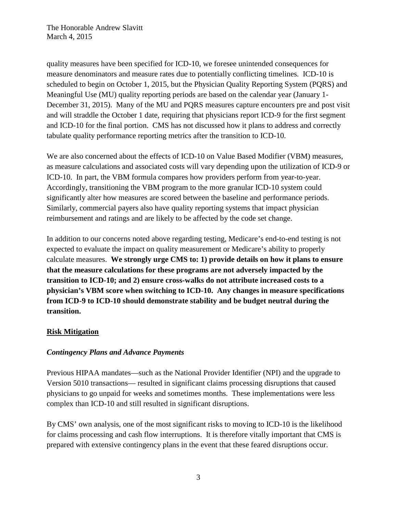quality measures have been specified for ICD-10, we foresee unintended consequences for measure denominators and measure rates due to potentially conflicting timelines. ICD-10 is scheduled to begin on October 1, 2015, but the Physician Quality Reporting System (PQRS) and Meaningful Use (MU) quality reporting periods are based on the calendar year (January 1- December 31, 2015). Many of the MU and PQRS measures capture encounters pre and post visit and will straddle the October 1 date, requiring that physicians report ICD-9 for the first segment and ICD-10 for the final portion. CMS has not discussed how it plans to address and correctly tabulate quality performance reporting metrics after the transition to ICD-10.

We are also concerned about the effects of ICD-10 on Value Based Modifier (VBM) measures, as measure calculations and associated costs will vary depending upon the utilization of ICD-9 or ICD-10. In part, the VBM formula compares how providers perform from year-to-year. Accordingly, transitioning the VBM program to the more granular ICD-10 system could significantly alter how measures are scored between the baseline and performance periods. Similarly, commercial payers also have quality reporting systems that impact physician reimbursement and ratings and are likely to be affected by the code set change.

In addition to our concerns noted above regarding testing, Medicare's end-to-end testing is not expected to evaluate the impact on quality measurement or Medicare's ability to properly calculate measures. **We strongly urge CMS to: 1) provide details on how it plans to ensure that the measure calculations for these programs are not adversely impacted by the transition to ICD-10; and 2) ensure cross-walks do not attribute increased costs to a physician's VBM score when switching to ICD-10. Any changes in measure specifications from ICD-9 to ICD-10 should demonstrate stability and be budget neutral during the transition.**

# **Risk Mitigation**

# *Contingency Plans and Advance Payments*

Previous HIPAA mandates—such as the National Provider Identifier (NPI) and the upgrade to Version 5010 transactions— resulted in significant claims processing disruptions that caused physicians to go unpaid for weeks and sometimes months. These implementations were less complex than ICD-10 and still resulted in significant disruptions.

By CMS' own analysis, one of the most significant risks to moving to ICD-10 is the likelihood for claims processing and cash flow interruptions. It is therefore vitally important that CMS is prepared with extensive contingency plans in the event that these feared disruptions occur.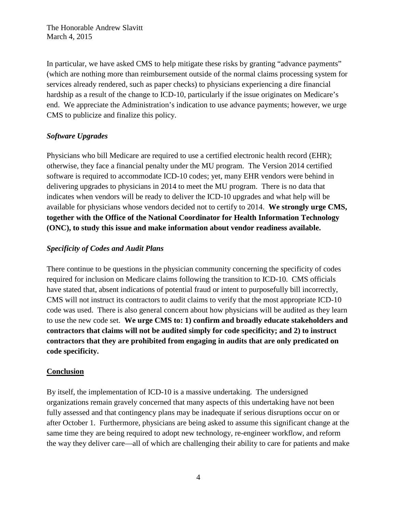In particular, we have asked CMS to help mitigate these risks by granting "advance payments" (which are nothing more than reimbursement outside of the normal claims processing system for services already rendered, such as paper checks) to physicians experiencing a dire financial hardship as a result of the change to ICD-10, particularly if the issue originates on Medicare's end. We appreciate the Administration's indication to use advance payments; however, we urge CMS to publicize and finalize this policy.

#### *Software Upgrades*

Physicians who bill Medicare are required to use a certified electronic health record (EHR); otherwise, they face a financial penalty under the MU program. The Version 2014 certified software is required to accommodate ICD-10 codes; yet, many EHR vendors were behind in delivering upgrades to physicians in 2014 to meet the MU program. There is no data that indicates when vendors will be ready to deliver the ICD-10 upgrades and what help will be available for physicians whose vendors decided not to certify to 2014. **We strongly urge CMS, together with the Office of the National Coordinator for Health Information Technology (ONC), to study this issue and make information about vendor readiness available.**

#### *Specificity of Codes and Audit Plans*

There continue to be questions in the physician community concerning the specificity of codes required for inclusion on Medicare claims following the transition to ICD-10.CMS officials have stated that, absent indications of potential fraud or intent to purposefully bill incorrectly, CMS will not instruct its contractors to audit claims to verify that the most appropriate ICD-10 code was used.There is also general concern about how physicians will be audited as they learn to use the new code set. **We urge CMS to: 1) confirm and broadly educate stakeholders and contractors that claims will not be audited simply for code specificity; and 2) to instruct contractors that they are prohibited from engaging in audits that are only predicated on code specificity.** 

#### **Conclusion**

By itself, the implementation of ICD-10 is a massive undertaking. The undersigned organizations remain gravely concerned that many aspects of this undertaking have not been fully assessed and that contingency plans may be inadequate if serious disruptions occur on or after October 1. Furthermore, physicians are being asked to assume this significant change at the same time they are being required to adopt new technology, re-engineer workflow, and reform the way they deliver care—all of which are challenging their ability to care for patients and make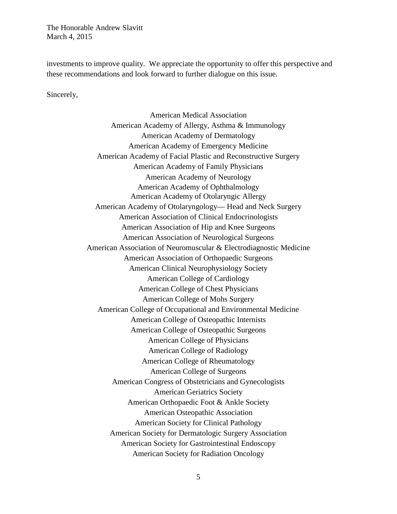investments to improve quality. We appreciate the opportunity to offer this perspective and these recommendations and look forward to further dialogue on this issue.

Sincerely,

American Medical Association American Academy of Allergy, Asthma & Immunology American Academy of Dermatology American Academy of Emergency Medicine American Academy of Facial Plastic and Reconstructive Surgery American Academy of Family Physicians American Academy of Neurology American Academy of Ophthalmology American Academy of Otolaryngic Allergy American Academy of Otolaryngology— Head and Neck Surgery American Association of Clinical Endocrinologists American Association of Hip and Knee Surgeons American Association of Neurological Surgeons American Association of Neuromuscular & Electrodiagnostic Medicine American Association of Orthopaedic Surgeons American Clinical Neurophysiology Society American College of Cardiology American College of Chest Physicians American College of Mohs Surgery American College of Occupational and Environmental Medicine American College of Osteopathic Internists American College of Osteopathic Surgeons American College of Physicians American College of Radiology American College of Rheumatology American College of Surgeons American Congress of Obstetricians and Gynecologists American Geriatrics Society American Orthopaedic Foot & Ankle Society American Osteopathic Association American Society for Clinical Pathology American Society for Dermatologic Surgery Association American Society for Gastrointestinal Endoscopy American Society for Radiation Oncology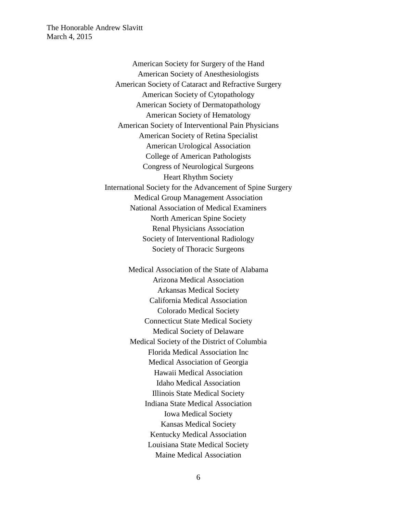> American Society for Surgery of the Hand American Society of Anesthesiologists American Society of Cataract and Refractive Surgery American Society of Cytopathology American Society of Dermatopathology American Society of Hematology American Society of Interventional Pain Physicians American Society of Retina Specialist American Urological Association College of American Pathologists Congress of Neurological Surgeons Heart Rhythm Society International Society for the Advancement of Spine Surgery Medical Group Management Association National Association of Medical Examiners North American Spine Society Renal Physicians Association Society of Interventional Radiology Society of Thoracic Surgeons

> > Medical Association of the State of Alabama Arizona Medical Association Arkansas Medical Society California Medical Association Colorado Medical Society Connecticut State Medical Society Medical Society of Delaware Medical Society of the District of Columbia Florida Medical Association Inc Medical Association of Georgia Hawaii Medical Association Idaho Medical Association Illinois State Medical Society Indiana State Medical Association Iowa Medical Society Kansas Medical Society Kentucky Medical Association Louisiana State Medical Society Maine Medical Association

> > > 6